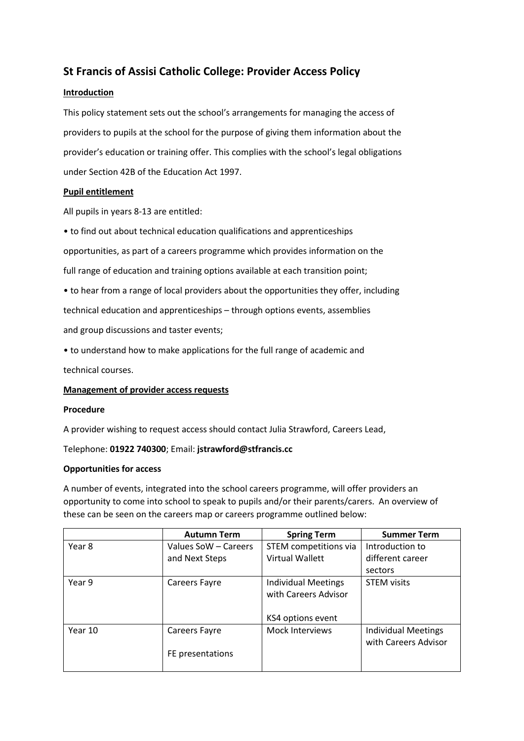# **St Francis of Assisi Catholic College: Provider Access Policy**

## **Introduction**

This policy statement sets out the school's arrangements for managing the access of providers to pupils at the school for the purpose of giving them information about the provider's education or training offer. This complies with the school's legal obligations under Section 42B of the Education Act 1997.

## **Pupil entitlement**

All pupils in years 8-13 are entitled:

• to find out about technical education qualifications and apprenticeships

opportunities, as part of a careers programme which provides information on the

full range of education and training options available at each transition point;

• to hear from a range of local providers about the opportunities they offer, including

technical education and apprenticeships – through options events, assemblies

and group discussions and taster events;

• to understand how to make applications for the full range of academic and

technical courses.

## **Management of provider access requests**

#### **Procedure**

A provider wishing to request access should contact Julia Strawford, Careers Lead,

Telephone: **01922 740300**; Email: **jstrawford@stfrancis.cc**

#### **Opportunities for access**

A number of events, integrated into the school careers programme, will offer providers an opportunity to come into school to speak to pupils and/or their parents/carers. An overview of these can be seen on the careers map or careers programme outlined below:

|         | <b>Autumn Term</b>   | <b>Spring Term</b>         | <b>Summer Term</b>         |
|---------|----------------------|----------------------------|----------------------------|
| Year 8  | Values SoW – Careers | STEM competitions via      | Introduction to            |
|         | and Next Steps       | Virtual Wallett            | different career           |
|         |                      |                            | sectors                    |
| Year 9  | <b>Careers Fayre</b> | <b>Individual Meetings</b> | <b>STEM visits</b>         |
|         |                      | with Careers Advisor       |                            |
|         |                      |                            |                            |
|         |                      | KS4 options event          |                            |
| Year 10 | <b>Careers Fayre</b> | <b>Mock Interviews</b>     | <b>Individual Meetings</b> |
|         |                      |                            | with Careers Advisor       |
|         | FE presentations     |                            |                            |
|         |                      |                            |                            |